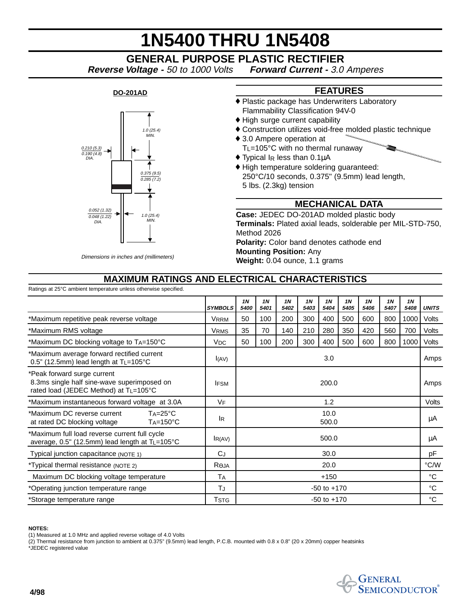# **1N5400 THRU 1N5408**

## **GENERAL PURPOSE PLASTIC RECTIFIER**

**Reverse Voltage -** 50 to 1000 Volts **Forward Current -** 3.0 Amperes



### **FEATURES**

- ♦ Plastic package has Underwriters Laboratory Flammability Classification 94V-0
- ♦ High surge current capability
- ♦ Construction utilizes void-free molded plastic technique
- ♦ 3.0 Ampere operation at TL=105°C with no thermal runaway
- $\blacklozenge$  Typical I<sub>R</sub> less than 0.1 $\mu$ A
- ♦ High temperature soldering guaranteed: 250°C/10 seconds, 0.375" (9.5mm) lead length, 5 lbs. (2.3kg) tension

#### **MECHANICAL DATA**

**Case:** JEDEC DO-201AD molded plastic body **Terminals:** Plated axial leads, solderable per MIL-STD-750, Method 2026 **Polarity:** Color band denotes cathode end

**Mounting Position:** Any

**Weight:** 0.04 ounce, 1.1 grams

#### **MAXIMUM RATINGS AND ELECTRICAL CHARACTERISTICS**

Ratings at 25°C ambient temperature unless otherwise specified.

|                                                                                                                     |                       | <b>1N</b>       | <b>1N</b> | <b>1N</b> | <b>1N</b> | <b>1N</b> | 1 <sub>N</sub> | <b>1N</b> | <b>1N</b> | <b>1N</b>    |              |
|---------------------------------------------------------------------------------------------------------------------|-----------------------|-----------------|-----------|-----------|-----------|-----------|----------------|-----------|-----------|--------------|--------------|
|                                                                                                                     | <b>SYMBOLS</b>        | 5400            | 5401      | 5402      | 5403      | 5404      | 5405           | 5406      | 5407      | 5408         | <b>UNITS</b> |
| *Maximum repetitive peak reverse voltage                                                                            | VRRM                  | 50              | 100       | 200       | 300       | 400       | 500            | 600       | 800       | 1000         | Volts        |
| *Maximum RMS voltage                                                                                                | <b>VRMS</b>           | 35              | 70        | 140       | 210       | 280       | 350            | 420       | 560       | 700          | Volts        |
| *Maximum DC blocking voltage to TA=150°C                                                                            | <b>V<sub>DC</sub></b> | 50              | 100       | 200       | 300       | 400       | 500            | 600       | 800       | 1000         | Volts        |
| *Maximum average forward rectified current<br>$0.5"$ (12.5mm) lead length at T <sub>L</sub> =105°C                  | I(AV)                 | 3.0             |           |           |           |           |                |           | Amps      |              |              |
| *Peak forward surge current<br>8.3ms single half sine-wave superimposed on<br>rated load (JEDEC Method) at TL=105°C | <b>IFSM</b>           | 200.0           |           |           |           |           |                |           |           | Amps         |              |
| *Maximum instantaneous forward voltage at 3.0A                                                                      | <b>VF</b>             | 1.2             |           |           |           |           |                |           |           | Volts        |              |
| *Maximum DC reverse current<br>$Ta = 25^{\circ}C$<br>at rated DC blocking voltage<br>$T_A = 150^{\circ}C$           | <b>IR</b>             | 10.0<br>500.0   |           |           |           |           |                |           |           | μA           |              |
| *Maximum full load reverse current full cycle<br>average, $0.5$ " (12.5mm) lead length at $T_{L}$ =105°C            | IR(AV)                | 500.0           |           |           |           |           |                |           |           | μA           |              |
| Typical junction capacitance (NOTE 1)                                                                               | CJ                    | 30.0            |           |           |           |           |                |           |           | рF           |              |
| *Typical thermal resistance (NOTE 2)                                                                                | $R_{\Theta}$ JA       | 20.0            |           |           |           |           |                |           |           | °C/W         |              |
| Maximum DC blocking voltage temperature                                                                             | TA                    | $+150$          |           |           |           |           |                |           |           | $^{\circ}$ C |              |
| *Operating junction temperature range                                                                               | TJ                    | $-50$ to $+170$ |           |           |           |           |                |           |           | °C           |              |
| *Storage temperature range                                                                                          | <b>T</b> STG          | $-50$ to $+170$ |           |           |           |           |                |           |           | $^{\circ}$ C |              |

#### **NOTES:**

(1) Measured at 1.0 MHz and applied reverse voltage of 4.0 Volts

(2) Thermal resistance from junction to ambient at 0.375" (9.5mm) lead length, P.C.B. mounted with 0.8 x 0.8" (20 x 20mm) copper heatsinks \*JEDEC registered value